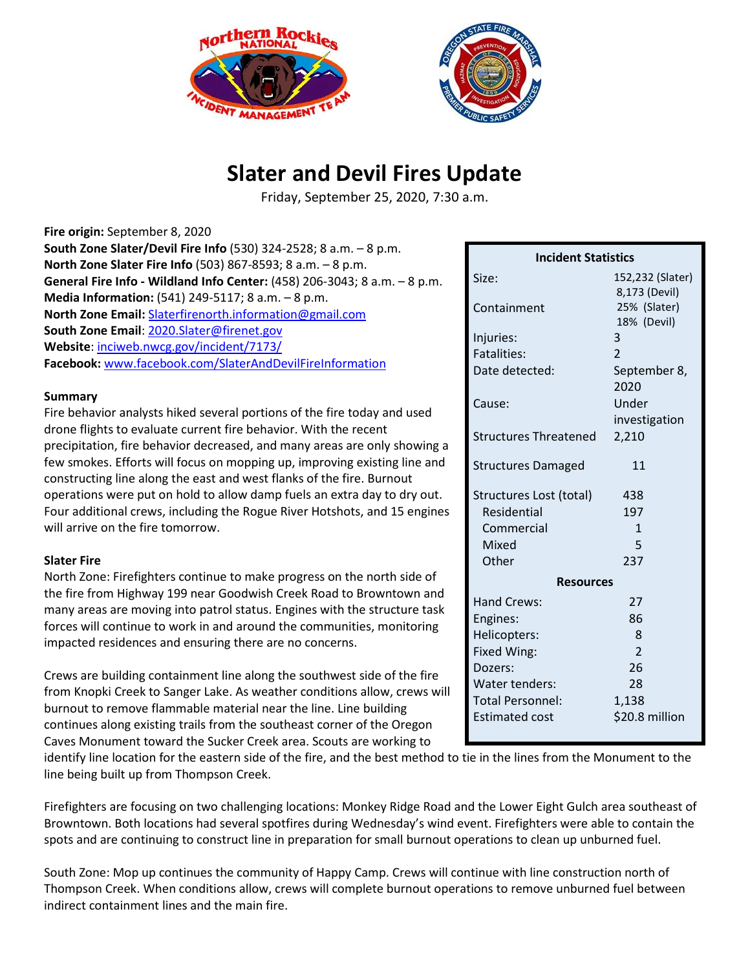



## **Slater and Devil Fires Update**

Friday, September 25, 2020, 7:30 a.m.

| Fire origin: September 8, 2020                                            |
|---------------------------------------------------------------------------|
| South Zone Slater/Devil Fire Info (530) 324-2528; 8 a.m. - 8 p.m.         |
| North Zone Slater Fire Info (503) 867-8593; 8 a.m. - 8 p.m.               |
| General Fire Info - Wildland Info Center: (458) 206-3043; 8 a.m. - 8 p.m. |
| Media Information: $(541)$ 249-5117; 8 a.m. $-8$ p.m.                     |
| North Zone Email: Slaterfirenorth.information@gmail.com                   |
| South Zone Email: 2020.Slater@firenet.gov                                 |
| Website: inciweb.nwcg.gov/incident/7173/                                  |
| Facebook: www.facebook.com/SlaterAndDevilFireInformation                  |

## **Summary**

Fire behavior analysts hiked several portions of the fire today and used drone flights to evaluate current fire behavior. With the recent precipitation, fire behavior decreased, and many areas are only showing a few smokes. Efforts will focus on mopping up, improving existing line and constructing line along the east and west flanks of the fire. Burnout operations were put on hold to allow damp fuels an extra day to dry out. Four additional crews, including the Rogue River Hotshots, and 15 engines will arrive on the fire tomorrow.

## **Slater Fire**

North Zone: Firefighters continue to make progress on the north side of the fire from Highway 199 near Goodwish Creek Road to Browntown and many areas are moving into patrol status. Engines with the structure task forces will continue to work in and around the communities, monitoring impacted residences and ensuring there are no concerns.

Crews are building containment line along the southwest side of the fire from Knopki Creek to Sanger Lake. As weather conditions allow, crews will burnout to remove flammable material near the line. Line building continues along existing trails from the southeast corner of the Oregon Caves Monument toward the Sucker Creek area. Scouts are working to

| cut statistics               |                                   |  |
|------------------------------|-----------------------------------|--|
| Size:                        | 152,232 (Slater)<br>8,173 (Devil) |  |
| Containment                  | 25% (Slater)                      |  |
|                              | 18% (Devil)                       |  |
| Injuries:                    | 3                                 |  |
| <b>Fatalities:</b>           | $\mathfrak{D}$                    |  |
| Date detected:               | September 8,                      |  |
|                              | 2020                              |  |
| Cause:                       | Under                             |  |
|                              | investigation                     |  |
| <b>Structures Threatened</b> | 2,210                             |  |
| <b>Structures Damaged</b>    | 11                                |  |
| Structures Lost (total)      | 438                               |  |
| <b>Residential</b>           | 197                               |  |
| Commercial                   | 1                                 |  |
| Mixed                        | 5                                 |  |
| Other                        | 237                               |  |
| <b>Resources</b>             |                                   |  |
| <b>Hand Crews:</b>           | 27                                |  |
| Engines:                     | 86                                |  |
| Helicopters:                 | 8                                 |  |
| Fixed Wing:                  | $\overline{\mathcal{L}}$          |  |
| Dozers:                      | 26                                |  |
| Water tenders:               | 28                                |  |
| <b>Total Personnel:</b>      | 1,138                             |  |
| <b>Estimated cost</b>        | \$20.8 million                    |  |

**Incident Statistics**

identify line location for the eastern side of the fire, and the best method to tie in the lines from the Monument to the line being built up from Thompson Creek.

Firefighters are focusing on two challenging locations: Monkey Ridge Road and the Lower Eight Gulch area southeast of Browntown. Both locations had several spotfires during Wednesday's wind event. Firefighters were able to contain the spots and are continuing to construct line in preparation for small burnout operations to clean up unburned fuel.

South Zone: Mop up continues the community of Happy Camp. Crews will continue with line construction north of Thompson Creek. When conditions allow, crews will complete burnout operations to remove unburned fuel between indirect containment lines and the main fire.